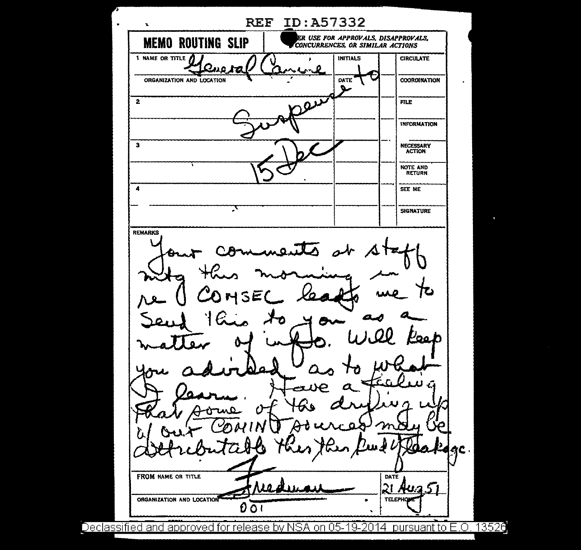REF ID:A57332  $\ddot{\phantom{0}}$ MEMO ROUTING SLIP<sup>-1</sup> CONCURRENCES, OR SIMILAR ACTIONS **CONCURRENCES, OR SIMILAR ACTIONS** 1 NAME OR TITLE INITIALS CIRCULATE ORGANIZATION AND LOCATION **COORDINATION DATE** D  $\overline{\mathbf{v}}$  $\overline{2}$ FILE INFORMATION 3 NECESSARY ACTION NOTE ANO RETURN 4 SEE ME ᠴ SIGNATURE REMARKS 0۵. Ð  $\bullet$ FROM NAME OR TITLE DATE  $\mathfrak{A}% _{T}=\mathfrak{A}_{T}\!\left( a,b\right) ,\mathfrak{A}_{T}=\mathfrak{A}_{T}\!\left( a,b\right) ,$ ORGANIZATION AND LOCATION **TELEPHO**  $0\,\overline{O}$ 

Declassified and approved for release by NSA on 05-19-2014 pursuant to E.O. 13526